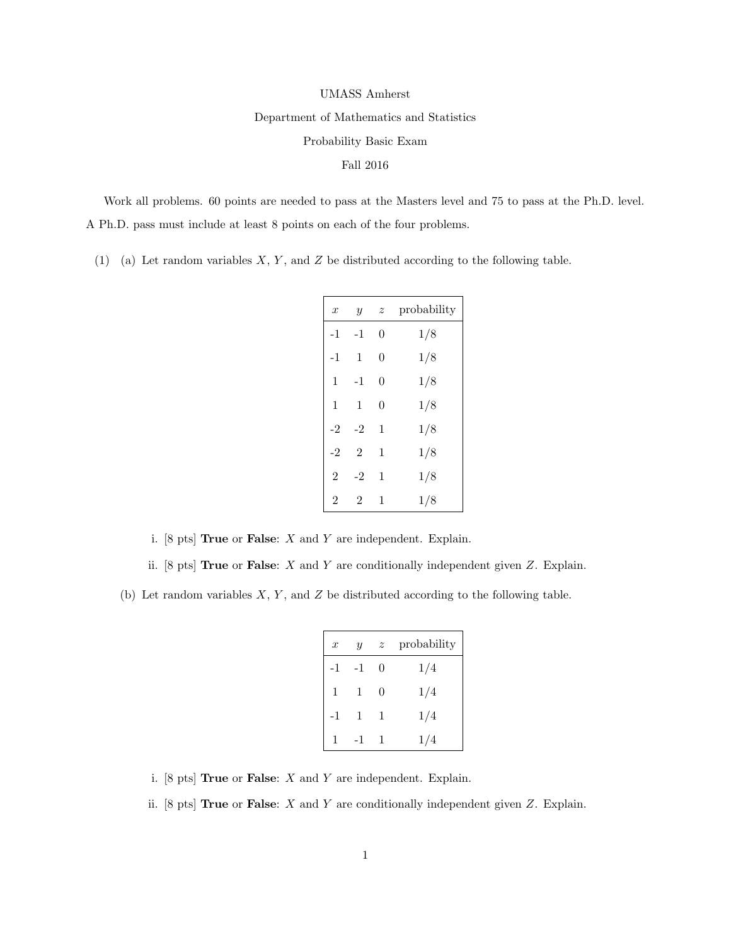## UMASS Amherst

Department of Mathematics and Statistics

Probability Basic Exam

## Fall 2016

Work all problems. 60 points are needed to pass at the Masters level and 75 to pass at the Ph.D. level. A Ph.D. pass must include at least 8 points on each of the four problems.

(1) (a) Let random variables  $X, Y$ , and  $Z$  be distributed according to the following table.

| $\boldsymbol{x}$ | $\boldsymbol{y}$ | z              | probability |
|------------------|------------------|----------------|-------------|
| $-1$             | $-1$             | $\overline{0}$ | 1/8         |
| $-1$             | $\mathbf{1}$     | $\overline{0}$ | 1/8         |
| $\mathbf{1}$     | $-1$             | $\theta$       | 1/8         |
| $\mathbf{1}$     | 1                | $\theta$       | 1/8         |
| $-2$             | $-2$             | 1              | 1/8         |
| $-2$             | $\overline{2}$   | 1              | 1/8         |
| $\overline{2}$   | $-2$             | 1              | 1/8         |
| $\overline{2}$   | $\overline{2}$   | 1              | 1/8         |

i. [8 pts] **True** or **False**:  $X$  and  $Y$  are independent. Explain.

ii.  $[8 \text{ pts}]$  True or False: X and Y are conditionally independent given Z. Explain.

(b) Let random variables  $X, Y$ , and  $Z$  be distributed according to the following table.

| $\boldsymbol{x}$ | Y  | $\boldsymbol{z}$ | probability |
|------------------|----|------------------|-------------|
| -1               | -1 | 0                | 1/4         |
| $\mathbf{1}$     | 1  | 0                | 1/4         |
| -1               | 1  | $\mathbf{1}$     | 1/4         |
|                  |    | 1                | 1/4         |

- i.  $[8 \text{ pts}]$  True or False: X and Y are independent. Explain.
- ii.  $[8 \text{ pts}]$  True or False: X and Y are conditionally independent given Z. Explain.